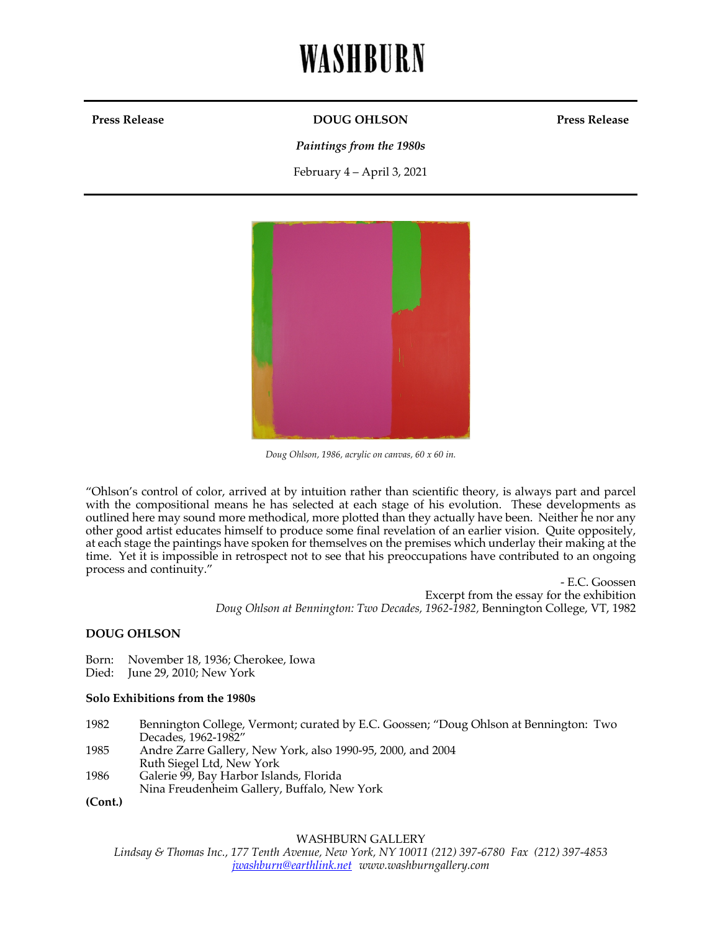# WASHBURN

#### **Press Release DOUG OHLSON**

**Press Release**

*Paintings from the 1980s*

February 4 – April 3, 2021



*Doug Ohlson, 1986, acrylic on canvas, 60 x 60 in.*

"Ohlson's control of color, arrived at by intuition rather than scientific theory, is always part and parcel with the compositional means he has selected at each stage of his evolution. These developments as outlined here may sound more methodical, more plotted than they actually have been. Neither he nor any other good artist educates himself to produce some final revelation of an earlier vision. Quite oppositely, at each stage the paintings have spoken for themselves on the premises which underlay their making at the time. Yet it is impossible in retrospect not to see that his preoccupations have contributed to an ongoing process and continuity."

> - E.C. Goossen Excerpt from the essay for the exhibition *Doug Ohlson at Bennington: Two Decades, 1962-1982,* Bennington College, VT, 1982

#### **DOUG OHLSON**

Born: November 18, 1936; Cherokee, Iowa

Died: June 29, 2010; New York

#### **Solo Exhibitions from the 1980s**

| 1982 | Bennington College, Vermont; curated by E.C. Goossen; "Doug Ohlson at Bennington: Two |
|------|---------------------------------------------------------------------------------------|
|      | Decades, 1962-1982"                                                                   |
| 1985 | Andre Zarre Gallery, New York, also 1990-95, 2000, and 2004                           |
|      | Ruth Siegel Ltd, New York                                                             |
| 1986 | Galerie 99, Bay Harbor Islands, Florida                                               |
|      | Nina Freudenheim Gallery, Buffalo, New York                                           |
|      |                                                                                       |

**(Cont.)**

#### WASHBURN GALLERY

*Lindsay & Thomas Inc., 177 Tenth Avenue, New York, NY 10011 (212) 397-6780 Fax (212) 397-4853 jwashburn@earthlink.net www.washburngallery.com*